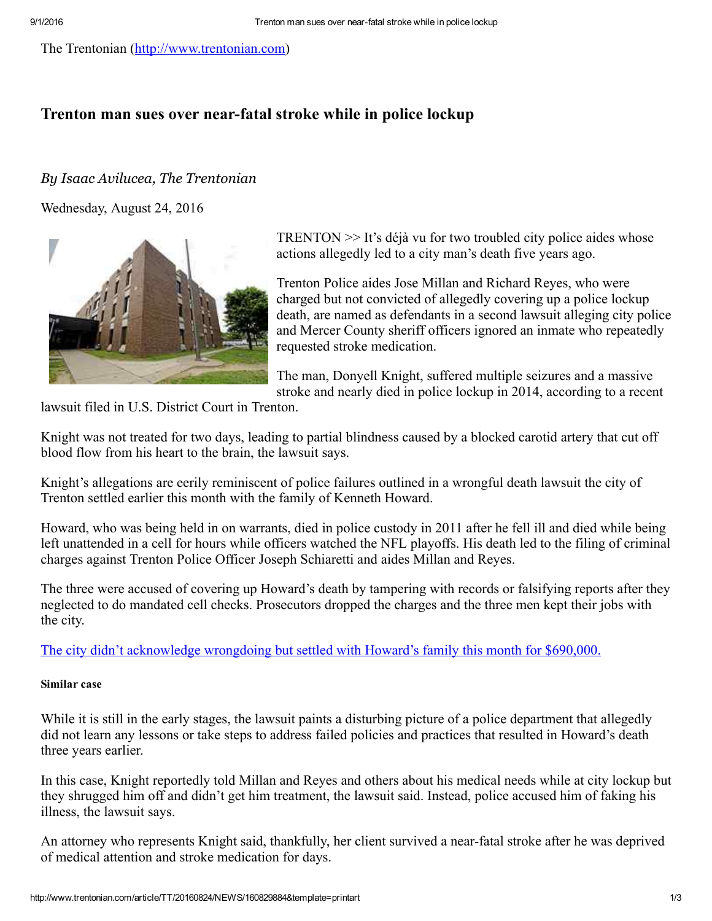The Trentonian ([http://www.trentonian.com](http://www.trentonian.com/))

## Trenton man sues over near-fatal stroke while in police lockup

## By Isaac Avilucea, The Trentonian

Wednesday, August 24, 2016



TRENTON >> It's déjà vu for two troubled city police aides whose actions allegedly led to a city man's death five years ago.

Trenton Police aides Jose Millan and Richard Reyes, who were charged but not convicted of allegedly covering up a police lockup death, are named as defendants in a second lawsuit alleging city police and Mercer County sheriff officers ignored an inmate who repeatedly requested stroke medication.

The man, Donyell Knight, suffered multiple seizures and a massive stroke and nearly died in police lockup in 2014, according to a recent

lawsuit filed in U.S. District Court in Trenton.

Knight was not treated for two days, leading to partial blindness caused by a blocked carotid artery that cut off blood flow from his heart to the brain, the lawsuit says.

Knight's allegations are eerily reminiscent of police failures outlined in a wrongful death lawsuit the city of Trenton settled earlier this month with the family of Kenneth Howard.

Howard, who was being held in on warrants, died in police custody in 2011 after he fell ill and died while being left unattended in a cell for hours while officers watched the NFL playoffs. His death led to the filing of criminal charges against Trenton Police Officer Joseph Schiaretti and aides Millan and Reyes.

The three were accused of covering up Howard's death by tampering with records or falsifying reports after they neglected to do mandated cell checks. Prosecutors dropped the charges and the three men kept their jobs with the city.

The city didn't [acknowledge](http://www.trentonian.com/article/TT/20160801/NEWS/160809994) wrongdoing but settled with Howard's family this month for \$690,000.

## Similar case

While it is still in the early stages, the lawsuit paints a disturbing picture of a police department that allegedly did not learn any lessons or take steps to address failed policies and practices that resulted in Howard's death three years earlier.

In this case, Knight reportedly told Millan and Reyes and others about his medical needs while at city lockup but they shrugged him off and didn't get him treatment, the lawsuit said. Instead, police accused him of faking his illness, the lawsuit says.

An attorney who represents Knight said, thankfully, her client survived a near-fatal stroke after he was deprived of medical attention and stroke medication for days.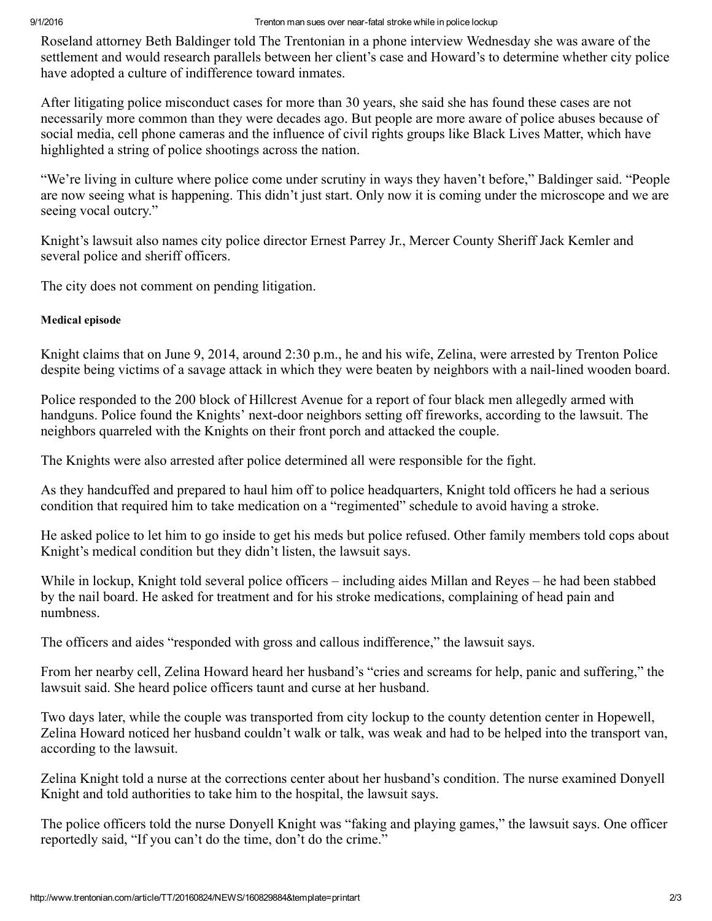Roseland attorney Beth Baldinger told The Trentonian in a phone interview Wednesday she was aware of the settlement and would research parallels between her client's case and Howard's to determine whether city police have adopted a culture of indifference toward inmates.

After litigating police misconduct cases for more than 30 years, she said she has found these cases are not necessarily more common than they were decades ago. But people are more aware of police abuses because of social media, cell phone cameras and the influence of civil rights groups like Black Lives Matter, which have highlighted a string of police shootings across the nation.

"We're living in culture where police come under scrutiny in ways they haven't before," Baldinger said. "People are now seeing what is happening. This didn't just start. Only now it is coming under the microscope and we are seeing vocal outcry."

Knight's lawsuit also names city police director Ernest Parrey Jr., Mercer County Sheriff Jack Kemler and several police and sheriff officers.

The city does not comment on pending litigation.

## Medical episode

Knight claims that on June 9, 2014, around 2:30 p.m., he and his wife, Zelina, were arrested by Trenton Police despite being victims of a savage attack in which they were beaten by neighbors with a nail-lined wooden board.

Police responded to the 200 block of Hillcrest Avenue for a report of four black men allegedly armed with handguns. Police found the Knights' next-door neighbors setting off fireworks, according to the lawsuit. The neighbors quarreled with the Knights on their front porch and attacked the couple.

The Knights were also arrested after police determined all were responsible for the fight.

As they handcuffed and prepared to haul him off to police headquarters, Knight told officers he had a serious condition that required him to take medication on a "regimented" schedule to avoid having a stroke.

He asked police to let him to go inside to get his meds but police refused. Other family members told cops about Knight's medical condition but they didn't listen, the lawsuit says.

While in lockup, Knight told several police officers – including aides Millan and Reyes – he had been stabbed by the nail board. He asked for treatment and for his stroke medications, complaining of head pain and numbness.

The officers and aides "responded with gross and callous indifference," the lawsuit says.

From her nearby cell, Zelina Howard heard her husband's "cries and screams for help, panic and suffering," the lawsuit said. She heard police officers taunt and curse at her husband.

Two days later, while the couple was transported from city lockup to the county detention center in Hopewell, Zelina Howard noticed her husband couldn't walk or talk, was weak and had to be helped into the transport van, according to the lawsuit.

Zelina Knight told a nurse at the corrections center about her husband's condition. The nurse examined Donyell Knight and told authorities to take him to the hospital, the lawsuit says.

The police officers told the nurse Donyell Knight was "faking and playing games," the lawsuit says. One officer reportedly said, "If you can't do the time, don't do the crime."